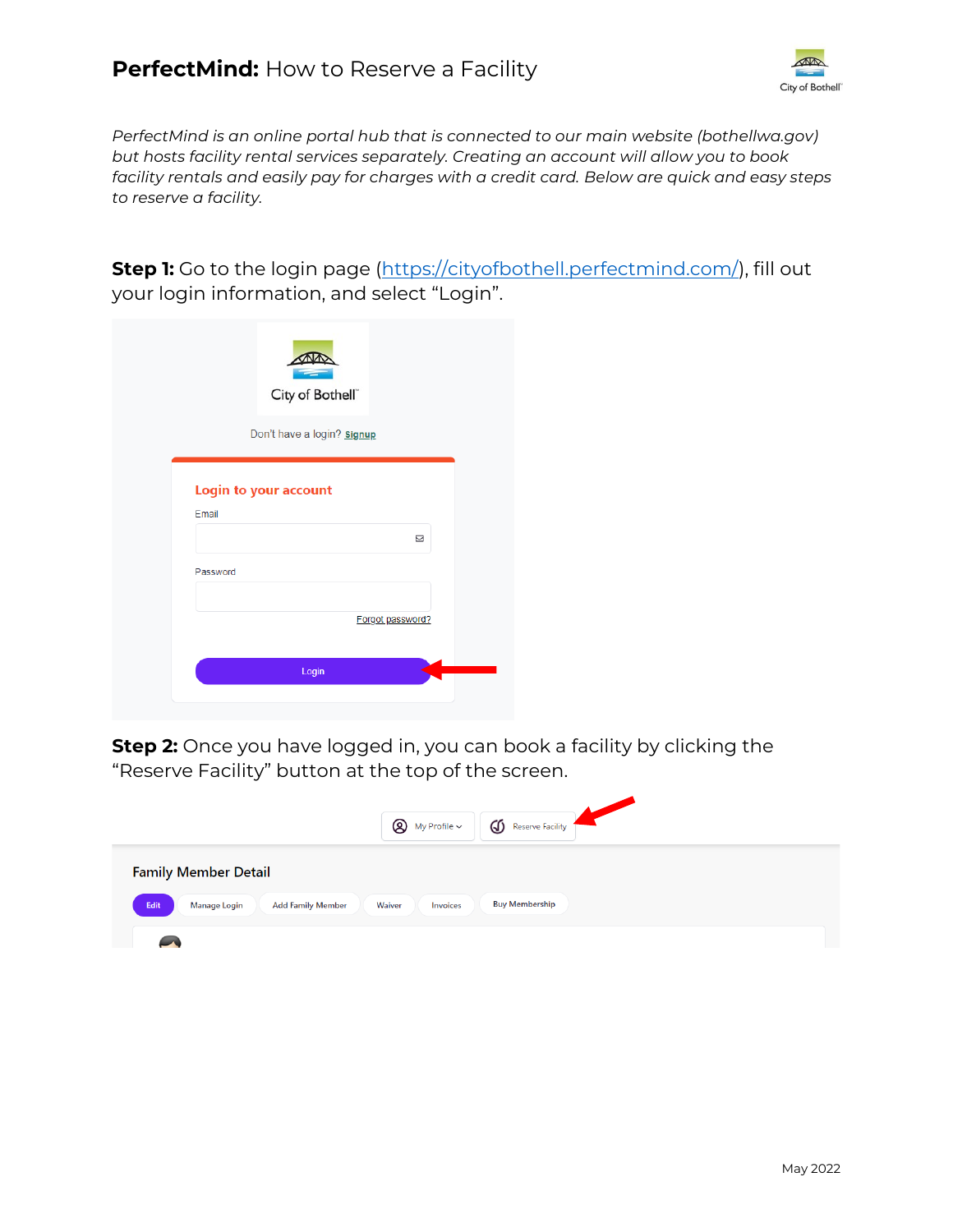

*PerfectMind is an online portal hub that is connected to our main website (bothellwa.gov) but hosts facility rental services separately. Creating an account will allow you to book facility rentals and easily pay for charges with a credit card. Below are quick and easy steps to reserve a facility.* 

**Step 1:** Go to the login page [\(https://cityofbothell.perfectmind.com/\)](https://cityofbothell.perfectmind.com/), fill out your login information, and select "Login".

|          | City of Bothell <sup>®</sup> |   |
|----------|------------------------------|---|
|          | Don't have a login? signup   |   |
|          | <b>Login to your account</b> |   |
|          |                              |   |
| Email    |                              |   |
|          |                              | ⊠ |
| Password |                              |   |
|          |                              |   |
|          | Forgot password?             |   |
|          | Login                        |   |

**Step 2:** Once you have logged in, you can book a facility by clicking the "Reserve Facility" button at the top of the screen.

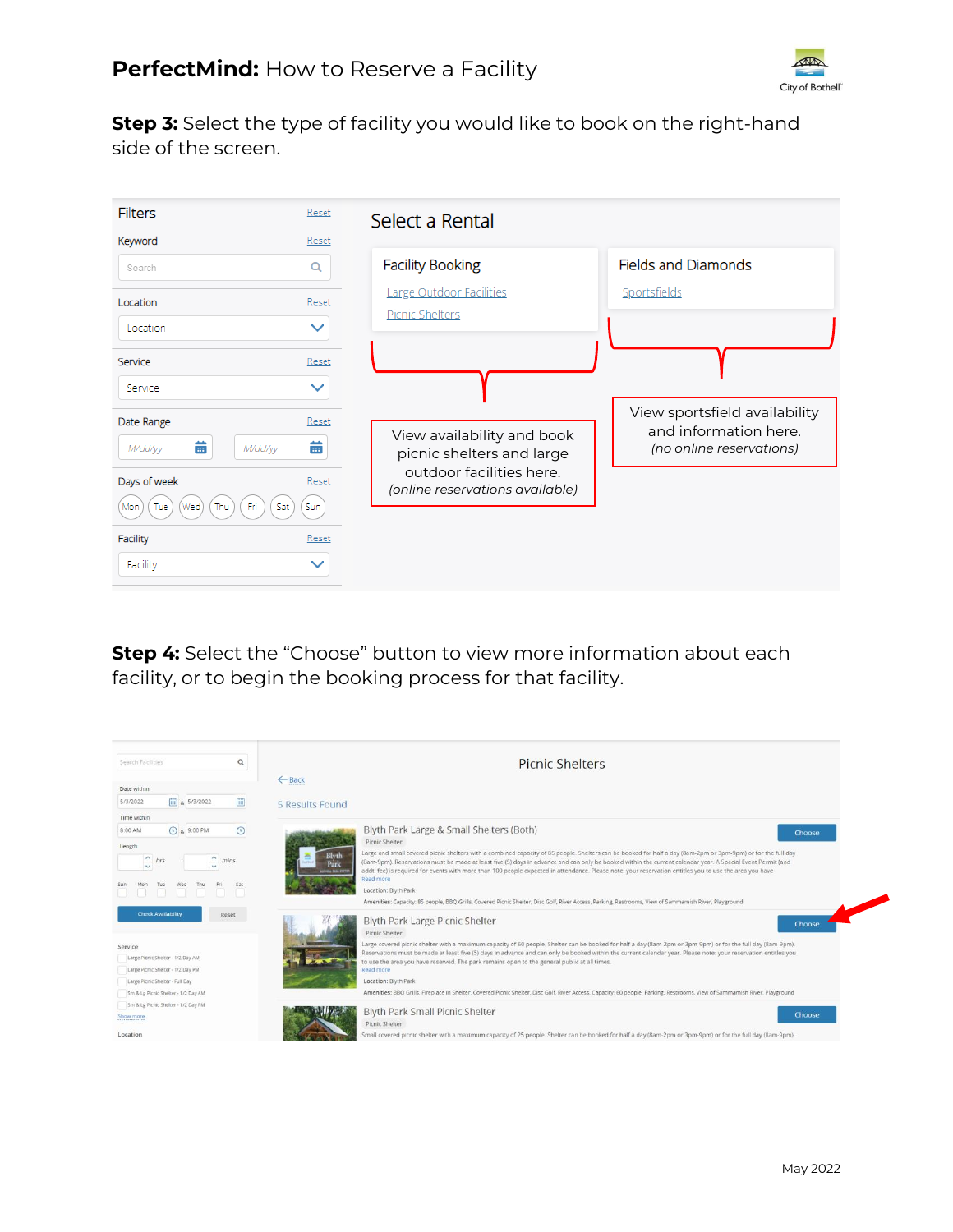

**Step 3:** Select the type of facility you would like to book on the right-hand side of the screen.



**Step 4:** Select the "Choose" button to view more information about each facility, or to begin the booking process for that facility.

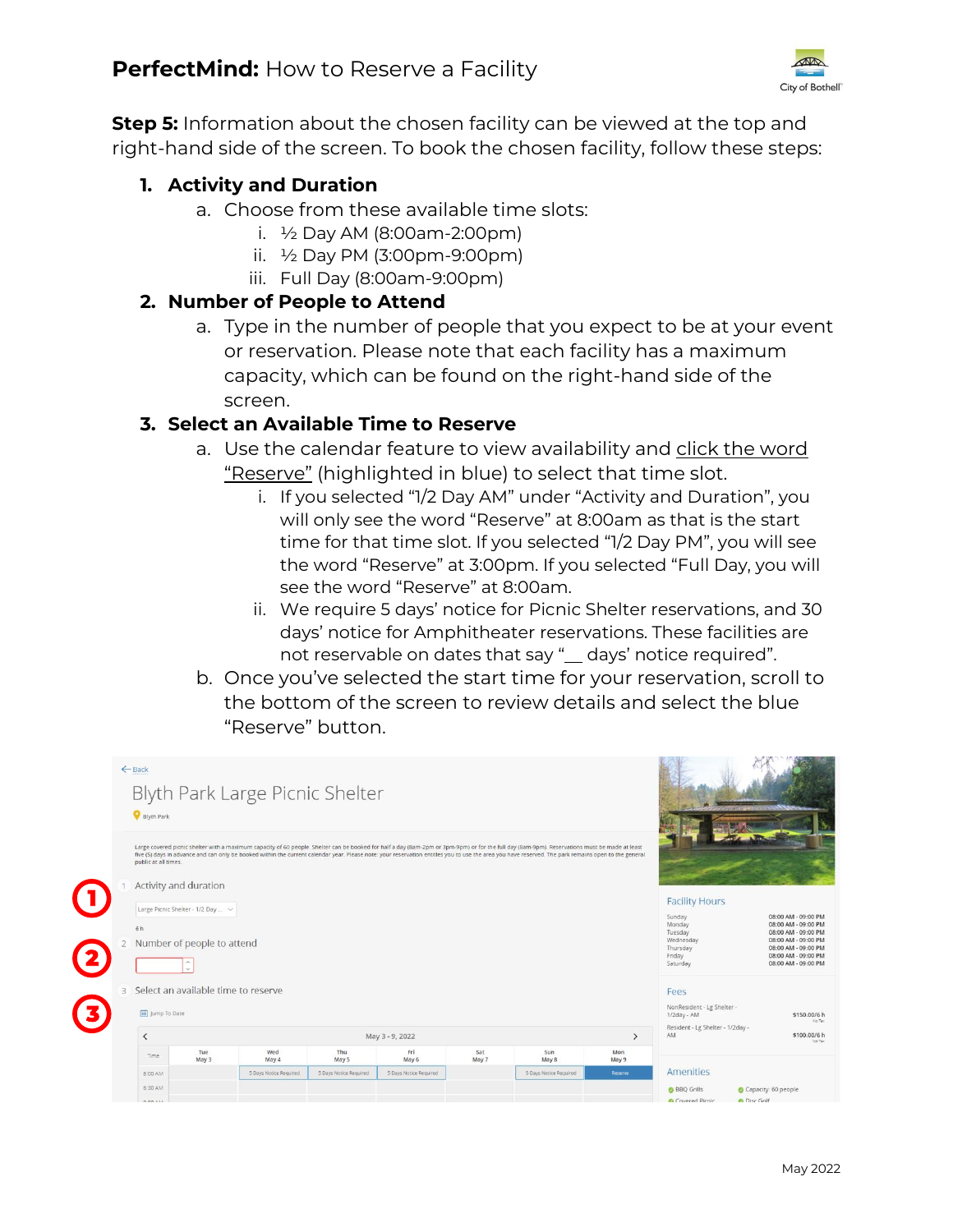

**Step 5:** Information about the chosen facility can be viewed at the top and right-hand side of the screen. To book the chosen facility, follow these steps:

## **1. Activity and Duration**

- a. Choose from these available time slots:
	- i.  $\frac{1}{2}$  Day AM (8:00am-2:00pm)
	- ii. ½ Day PM (3:00pm-9:00pm)
	- iii. Full Day (8:00am-9:00pm)

## **2. Number of People to Attend**

a. Type in the number of people that you expect to be at your event or reservation. Please note that each facility has a maximum capacity, which can be found on the right-hand side of the screen.

## **3. Select an Available Time to Reserve**

- a. Use the calendar feature to view availability and click the word "Reserve" (highlighted in blue) to select that time slot.
	- i. If you selected "1/2 Day AM" under "Activity and Duration", you will only see the word "Reserve" at 8:00am as that is the start time for that time slot. If you selected "1/2 Day PM", you will see the word "Reserve" at 3:00pm. If you selected "Full Day, you will see the word "Reserve" at 8:00am.
	- ii. We require 5 days' notice for Picnic Shelter reservations, and 30 days' notice for Amphitheater reservations. These facilities are not reservable on dates that say "\_ days' notice required".
- b. Once you've selected the start time for your reservation, scroll to the bottom of the screen to review details and select the blue "Reserve" button.

|                         |   | $\leftarrow$ Back<br>Blyth Park Large Picnic Shelter<br><b>Blyth Park</b><br>Large covered picnic shelter with a maximum capacity of 60 people. Shelter can be booked for half a day (8am-2pm or 3pm-9pm) or for the full day (8am-9pm). Reservations must be made at least<br>five (5) days in advance and can only be booked within the current calendar year. Please note: your reservation entitles you to use the area you have reserved. The park remains open to the general<br>public at all times.<br>Activity and duration |                                   |                        |                        |                        |              |                        |              |                                        |                                            |  |  |
|-------------------------|---|--------------------------------------------------------------------------------------------------------------------------------------------------------------------------------------------------------------------------------------------------------------------------------------------------------------------------------------------------------------------------------------------------------------------------------------------------------------------------------------------------------------------------------------|-----------------------------------|------------------------|------------------------|------------------------|--------------|------------------------|--------------|----------------------------------------|--------------------------------------------|--|--|
|                         |   |                                                                                                                                                                                                                                                                                                                                                                                                                                                                                                                                      |                                   |                        |                        |                        |              |                        |              |                                        |                                            |  |  |
|                         |   |                                                                                                                                                                                                                                                                                                                                                                                                                                                                                                                                      |                                   |                        |                        |                        |              |                        |              | <b>Facility Hours</b>                  |                                            |  |  |
|                         |   |                                                                                                                                                                                                                                                                                                                                                                                                                                                                                                                                      | Large Picnic Shelter - 1/2 Day  ~ |                        |                        |                        |              |                        |              | Sunday                                 | 08:00 AM - 09:00 PM                        |  |  |
|                         |   | 6h                                                                                                                                                                                                                                                                                                                                                                                                                                                                                                                                   |                                   |                        |                        |                        |              |                        |              | Monday<br>Tuesday                      | 08:00 AM - 09:00 PM<br>08:00 AM - 09:00 PM |  |  |
|                         |   | Number of people to attend                                                                                                                                                                                                                                                                                                                                                                                                                                                                                                           |                                   |                        |                        |                        |              |                        |              | Wednesday<br>Thursday<br>Friday        | 08:00 AM - 09:00 PM<br>08:00 AM - 09:00 PM |  |  |
| $\mathbf{2}$            |   |                                                                                                                                                                                                                                                                                                                                                                                                                                                                                                                                      |                                   |                        |                        |                        |              |                        |              |                                        | 08:00 AM - 09:00 PM<br>08:00 AM - 09:00 PM |  |  |
|                         | 3 | Select an available time to reserve                                                                                                                                                                                                                                                                                                                                                                                                                                                                                                  |                                   |                        |                        |                        |              |                        |              |                                        |                                            |  |  |
|                         |   |                                                                                                                                                                                                                                                                                                                                                                                                                                                                                                                                      |                                   |                        |                        |                        |              |                        |              |                                        | NonResident - Lg Shelter -                 |  |  |
| $\overline{\mathbf{3}}$ |   | [iii] Jump To Date                                                                                                                                                                                                                                                                                                                                                                                                                                                                                                                   |                                   |                        |                        |                        |              |                        |              | 1/2day - AM                            | \$150,00/6 h<br>No Tax                     |  |  |
|                         |   | $\overline{\phantom{a}}$<br>May 3 - 9, 2022<br>$\rightarrow$                                                                                                                                                                                                                                                                                                                                                                                                                                                                         |                                   |                        |                        |                        |              |                        |              | Resident - Lg Shelter - 1/2day -<br>AM | \$100.00/6 h<br>No Tax                     |  |  |
|                         |   | Time:                                                                                                                                                                                                                                                                                                                                                                                                                                                                                                                                | Tue<br>May 3                      | Wed<br>May 4           | Thu<br>May 5           | Fri<br>May 6           | Sat<br>May 7 | Sun<br>May 8           | Mon<br>May 9 |                                        |                                            |  |  |
|                         |   | 8:00 AM                                                                                                                                                                                                                                                                                                                                                                                                                                                                                                                              |                                   | 5 Days Notice Required | 5 Days Notice Required | 5 Days Notice Required |              | 5 Days Notice Required | Reserve      | <b>Amenities</b>                       |                                            |  |  |
|                         |   | 8:30 AM                                                                                                                                                                                                                                                                                                                                                                                                                                                                                                                              |                                   |                        |                        |                        |              |                        |              | <b>BBQ</b> Grills                      | Capacity: 60 people                        |  |  |
|                         |   | A-AA 43.8                                                                                                                                                                                                                                                                                                                                                                                                                                                                                                                            |                                   |                        |                        |                        |              |                        |              | <b><i>Ca Covered Picnic</i></b>        | <b>Canada</b> Disc Golf                    |  |  |